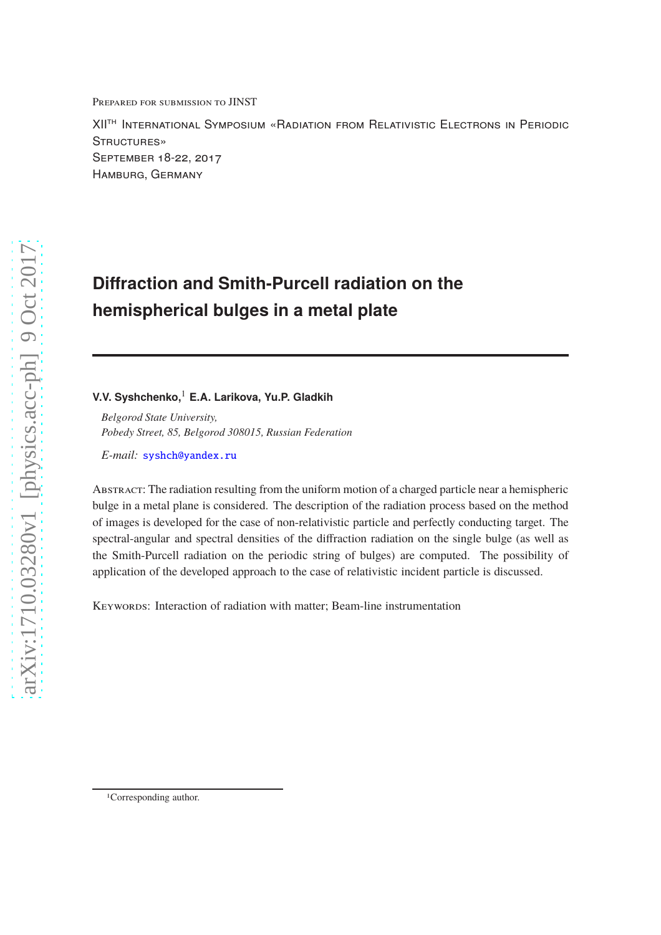Prepared for submission to JINST

XIIth International Symposium «Radiation from Relativistic Electrons in Periodic STRUCTURES» September 18-22, 2017 Hamburg, Germany

# **Diffraction and Smith-Purcell radiation on the hemispherical bulges in a metal plate**

# **V.V. Syshchenko,**<sup>1</sup> **E.A. Larikova, Yu.P. Gladkih**

*Belgorod State University, Pobedy Street, 85, Belgorod 308015, Russian Federation*

*E-mail:* [syshch@yandex.ru](mailto:syshch@yandex.ru)

Abstract: The radiation resulting from the uniform motion of a charged particle near a hemispheric bulge in a metal plane is considered. The description of the radiation process based on the method of images is developed for the case of non-relativistic particle and perfectly conducting target. The spectral-angular and spectral densities of the diffraction radiation on the single bulge (as well as the Smith-Purcell radiation on the periodic string of bulges) are computed. The possibility of application of the developed approach to the case of relativistic incident particle is discussed.

KEYWORDS: Interaction of radiation with matter; Beam-line instrumentation

<sup>1</sup>Corresponding author.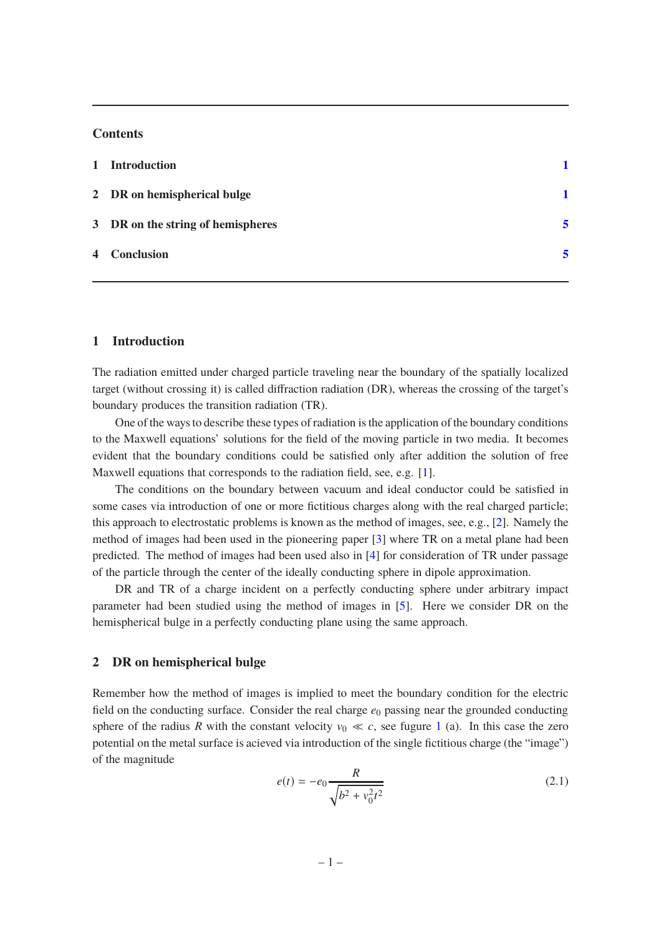## **Contents**

| $\mathbf{1}$ | <b>Introduction</b>               |   |
|--------------|-----------------------------------|---|
|              | 2 DR on hemispherical bulge       |   |
|              | 3 DR on the string of hemispheres | 5 |
|              | 4 Conclusion                      | 5 |
|              |                                   |   |

## <span id="page-1-0"></span>**1 Introduction**

The radiation emitted under charged particle traveling near the boundary of the spatially localized target (without crossing it) is called diffraction radiation (DR), whereas the crossing of the target's boundary produces the transition radiation (TR).

One of the ways to describe these types of radiation is the application of the boundary conditions to the Maxwell equations' solutions for the field of the moving particle in two media. It becomes evident that the boundary conditions could be satisfied only after addition the solution of free Maxwell equations that corresponds to the radiation field, see, e.g. [\[1](#page-7-0)].

The conditions on the boundary between vacuum and ideal conductor could be satisfied in some cases via introduction of one or more fictitious charges along with the real charged particle; this approach to electrostatic problems is known as the method of images, see, e.g., [\[2](#page-7-1)]. Namely the method of images had been used in the pioneering paper [\[3\]](#page-7-2) where TR on a metal plane had been predicted. The method of images had been used also in [\[4](#page-7-3)] for consideration of TR under passage of the particle through the center of the ideally conducting sphere in dipole approximation.

DR and TR of a charge incident on a perfectly conducting sphere under arbitrary impact parameter had been studied using the method of images in [\[5](#page-7-4)]. Here we consider DR on the hemispherical bulge in a perfectly conducting plane using the same approach.

## <span id="page-1-1"></span>**2 DR on hemispherical bulge**

Remember how the method of images is implied to meet the boundary condition for the electric field on the conducting surface. Consider the real charge  $e_0$  passing near the grounded conducting sphere of the radius *R* with the constant velocity  $v_0 \ll c$ , see fugure [1](#page-2-0) (a). In this case the zero potential on the metal surface is acieved via introduction of the single fictitious charge (the "image") of the magnitude

<span id="page-1-2"></span>
$$
e(t) = -e_0 \frac{R}{\sqrt{b^2 + v_0^2 t^2}}
$$
 (2.1)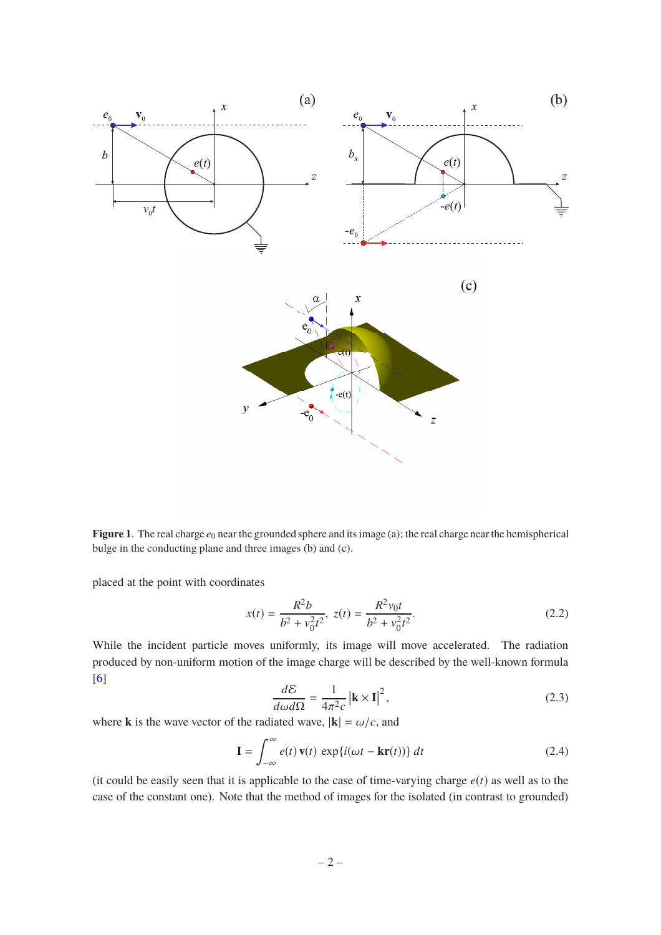

<span id="page-2-0"></span>**Figure 1**. The real charge  $e_0$  near the grounded sphere and its image (a); the real charge near the hemispherical bulge in the conducting plane and three images (b) and (c).

placed at the point with coordinates

<span id="page-2-1"></span>
$$
x(t) = \frac{R^2 b}{b^2 + v_0^2 t^2}, \ z(t) = \frac{R^2 v_0 t}{b^2 + v_0^2 t^2}.
$$
 (2.2)

While the incident particle moves uniformly, its image will move accelerated. The radiation produced by non-uniform motion of the image charge will be described by the well-known formula [\[6](#page-7-5)]

$$
\frac{d\mathcal{E}}{d\omega d\Omega} = \frac{1}{4\pi^2 c} \left| \mathbf{k} \times \mathbf{I} \right|^2,\tag{2.3}
$$

where **k** is the wave vector of the radiated wave,  $|\mathbf{k}| = \omega/c$ , and

<span id="page-2-2"></span>
$$
\mathbf{I} = \int_{-\infty}^{\infty} e(t) \mathbf{v}(t) \exp\{i(\omega t - \mathbf{kr}(t))\} dt
$$
 (2.4)

(it could be easily seen that it is applicable to the case of time-varying charge  $e(t)$  as well as to the case of the constant one). Note that the method of images for the isolated (in contrast to grounded)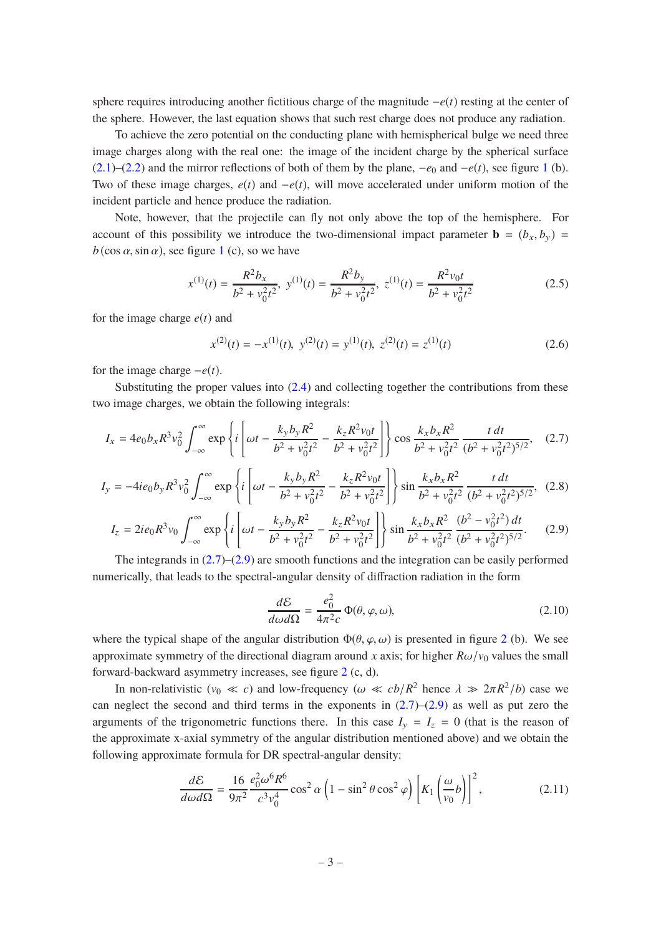sphere requires introducing another fictitious charge of the magnitude −*e*(*t*) resting at the center of the sphere. However, the last equation shows that such rest charge does not produce any radiation.

To achieve the zero potential on the conducting plane with hemispherical bulge we need three image charges along with the real one: the image of the incident charge by the spherical surface [\(2.1\)](#page-1-2)–[\(2.2\)](#page-2-1) and the mirror reflections of both of them by the plane,  $-e_0$  and  $-e(t)$ , see figure [1](#page-2-0) (b). Two of these image charges, *e*(*t*) and −*e*(*t*), will move accelerated under uniform motion of the incident particle and hence produce the radiation.

Note, however, that the projectile can fly not only above the top of the hemisphere. For account of this possibility we introduce the two-dimensional impact parameter  $\mathbf{b} = (b_x, b_y)$  $b$  (cos  $\alpha$ , sin  $\alpha$ ), see figure [1](#page-2-0) (c), so we have

$$
x^{(1)}(t) = \frac{R^2 b_x}{b^2 + v_0^2 t^2}, \ y^{(1)}(t) = \frac{R^2 b_y}{b^2 + v_0^2 t^2}, \ z^{(1)}(t) = \frac{R^2 v_0 t}{b^2 + v_0^2 t^2}
$$
(2.5)

for the image charge *e*(*t*) and

$$
x^{(2)}(t) = -x^{(1)}(t), \ y^{(2)}(t) = y^{(1)}(t), \ z^{(2)}(t) = z^{(1)}(t)
$$
\n(2.6)

for the image charge  $-e(t)$ .

Substituting the proper values into  $(2.4)$  and collecting together the contributions from these two image charges, we obtain the following integrals:

<span id="page-3-0"></span>
$$
I_x = 4e_0 b_x R^3 v_0^2 \int_{-\infty}^{\infty} \exp\left\{ i \left[ \omega t - \frac{k_y b_y R^2}{b^2 + v_0^2 t^2} - \frac{k_z R^2 v_0 t}{b^2 + v_0^2 t^2} \right] \right\} \cos \frac{k_x b_x R^2}{b^2 + v_0^2 t^2} \frac{t dt}{(b^2 + v_0^2 t^2)^{5/2}}, \quad (2.7)
$$

$$
I_{y} = -4ie_{0}b_{y}R^{3}v_{0}^{2} \int_{-\infty}^{\infty} \exp\left\{i\left[\omega t - \frac{k_{y}b_{y}R^{2}}{b^{2} + v_{0}^{2}t^{2}} - \frac{k_{z}R^{2}v_{0}t}{b^{2} + v_{0}^{2}t^{2}}\right]\right\} \sin\frac{k_{x}b_{x}R^{2}}{b^{2} + v_{0}^{2}t^{2}}\frac{t dt}{(b^{2} + v_{0}^{2}t^{2})^{5/2}},
$$
 (2.8)

<span id="page-3-1"></span>
$$
I_z = 2ie_0R^3v_0 \int_{-\infty}^{\infty} \exp\left\{i\left[\omega t - \frac{k_yb_yR^2}{b^2 + v_0^2t^2} - \frac{k_zR^2v_0t}{b^2 + v_0^2t^2}\right]\right\} \sin\frac{k_xb_xR^2}{b^2 + v_0^2t^2} \frac{(b^2 - v_0^2t^2) dt}{(b^2 + v_0^2t^2)^{5/2}}.
$$
 (2.9)

The integrands in  $(2.7)$ – $(2.9)$  are smooth functions and the integration can be easily performed numerically, that leads to the spectral-angular density of diffraction radiation in the form

<span id="page-3-3"></span>
$$
\frac{d\mathcal{E}}{d\omega d\Omega} = \frac{e_0^2}{4\pi^2 c} \Phi(\theta, \varphi, \omega),\tag{2.10}
$$

where the typical shape of the angular distribution  $\Phi(\theta, \varphi, \omega)$  is presented in figure [2](#page-4-0) (b). We see approximate symmetry of the directional diagram around *x* axis; for higher  $R\omega/v_0$  values the small forward-backward asymmetry increases, see figure [2](#page-4-0) (c, d).

In non-relativistic ( $v_0 \ll c$ ) and low-frequency ( $\omega \ll cb/R^2$  hence  $\lambda \gg 2\pi R^2/b$ ) case we can neglect the second and third terms in the exponents in  $(2.7)$ – $(2.9)$  as well as put zero the arguments of the trigonometric functions there. In this case  $I_y = I_z = 0$  (that is the reason of the approximate x-axial symmetry of the angular distribution mentioned above) and we obtain the following approximate formula for DR spectral-angular density:

<span id="page-3-2"></span>
$$
\frac{d\mathcal{E}}{d\omega d\Omega} = \frac{16}{9\pi^2} \frac{e_0^2 \omega^6 R^6}{c^3 v_0^4} \cos^2 \alpha \left(1 - \sin^2 \theta \cos^2 \varphi\right) \left[K_1\left(\frac{\omega}{v_0}b\right)\right]^2,\tag{2.11}
$$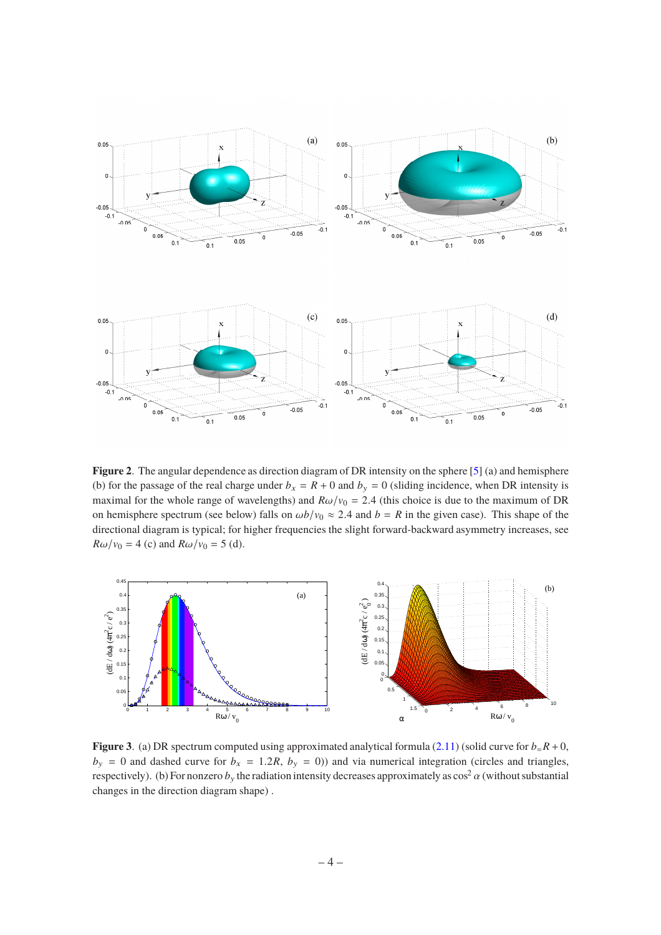

<span id="page-4-0"></span>**Figure 2**. The angular dependence as direction diagram of DR intensity on the sphere [\[5](#page-7-4)] (a) and hemisphere (b) for the passage of the real charge under  $b_x = R + 0$  and  $b_y = 0$  (sliding incidence, when DR intensity is maximal for the whole range of wavelengths) and  $R\omega/v_0 = 2.4$  (this choice is due to the maximum of DR on hemisphere spectrum (see below) falls on  $\omega b/v_0 \approx 2.4$  and  $b = R$  in the given case). This shape of the directional diagram is typical; for higher frequencies the slight forward-backward asymmetry increases, see  $R\omega/v_0 = 4$  (c) and  $R\omega/v_0 = 5$  (d).



<span id="page-4-1"></span>**Figure 3**. (a) DR spectrum computed using approximated analytical formula [\(2.11\)](#page-3-2) (solid curve for  $b = R + 0$ ,  $b_y = 0$  and dashed curve for  $b_x = 1.2R$ ,  $b_y = 0$ )) and via numerical integration (circles and triangles, respectively). (b) For nonzero  $b_y$  the radiation intensity decreases approximately as  $\cos^2 \alpha$  (without substantial changes in the direction diagram shape) .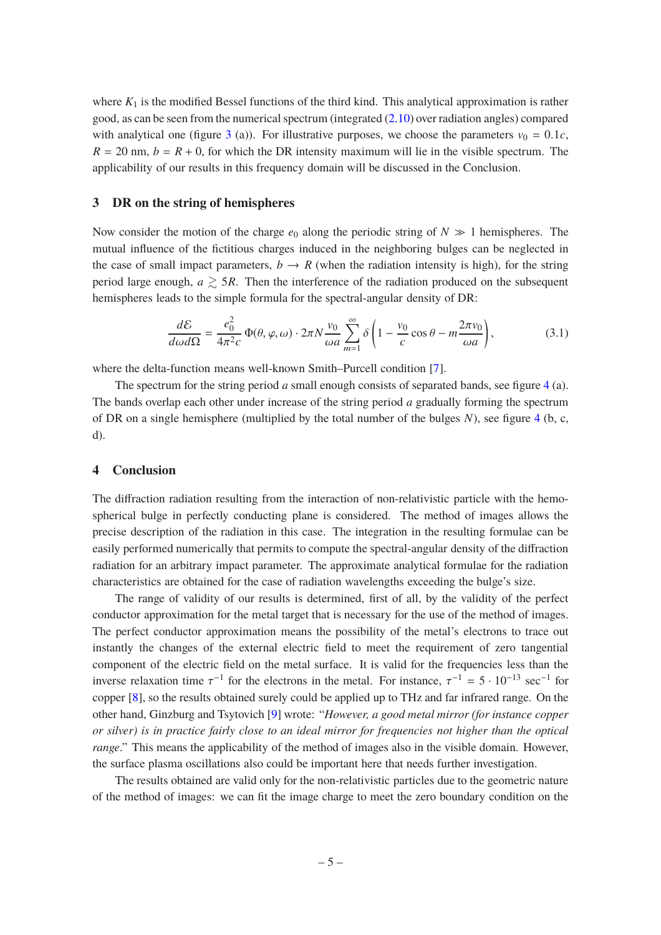where  $K_1$  is the modified Bessel functions of the third kind. This analytical approximation is rather good, as can be seen from the numerical spectrum (integrated [\(2.10\)](#page-3-3) over radiation angles) compared with analytical one (figure [3](#page-4-1) (a)). For illustrative purposes, we choose the parameters  $v_0 = 0.1c$ ,  $R = 20$  nm,  $b = R + 0$ , for which the DR intensity maximum will lie in the visible spectrum. The applicability of our results in this frequency domain will be discussed in the Conclusion.

#### <span id="page-5-0"></span>**3 DR on the string of hemispheres**

Now consider the motion of the charge  $e_0$  along the periodic string of  $N \gg 1$  hemispheres. The mutual influence of the fictitious charges induced in the neighboring bulges can be neglected in the case of small impact parameters,  $b \rightarrow R$  (when the radiation intensity is high), for the string period large enough,  $a \geq 5R$ . Then the interference of the radiation produced on the subsequent hemispheres leads to the simple formula for the spectral-angular density of DR:

$$
\frac{d\mathcal{E}}{d\omega d\Omega} = \frac{e_0^2}{4\pi^2 c} \Phi(\theta, \varphi, \omega) \cdot 2\pi N \frac{v_0}{\omega a} \sum_{m=1}^{\infty} \delta \left( 1 - \frac{v_0}{c} \cos \theta - m \frac{2\pi v_0}{\omega a} \right),\tag{3.1}
$$

where the delta-function means well-known Smith–Purcell condition [\[7\]](#page-7-6).

The spectrum for the string period *a* small enough consists of separated bands, see figure [4](#page-6-0) (a). The bands overlap each other under increase of the string period *a* gradually forming the spectrum of DR on a single hemisphere (multiplied by the total number of the bulges *N*), see figure [4](#page-6-0) (b, c, d).

#### <span id="page-5-1"></span>**4 Conclusion**

The diffraction radiation resulting from the interaction of non-relativistic particle with the hemospherical bulge in perfectly conducting plane is considered. The method of images allows the precise description of the radiation in this case. The integration in the resulting formulae can be easily performed numerically that permits to compute the spectral-angular density of the diffraction radiation for an arbitrary impact parameter. The approximate analytical formulae for the radiation characteristics are obtained for the case of radiation wavelengths exceeding the bulge's size.

The range of validity of our results is determined, first of all, by the validity of the perfect conductor approximation for the metal target that is necessary for the use of the method of images. The perfect conductor approximation means the possibility of the metal's electrons to trace out instantly the changes of the external electric field to meet the requirement of zero tangential component of the electric field on the metal surface. It is valid for the frequencies less than the inverse relaxation time  $\tau^{-1}$  for the electrons in the metal. For instance,  $\tau^{-1} = 5 \cdot 10^{-13}$  sec<sup>-1</sup> for copper [\[8\]](#page-7-7), so the results obtained surely could be applied up to THz and far infrared range. On the other hand, Ginzburg and Tsytovich [\[9\]](#page-7-8) wrote: "*However, a good metal mirror (for instance copper or silver) is in practice fairly close to an ideal mirror for frequencies not higher than the optical range*." This means the applicability of the method of images also in the visible domain. However, the surface plasma oscillations also could be important here that needs further investigation.

The results obtained are valid only for the non-relativistic particles due to the geometric nature of the method of images: we can fit the image charge to meet the zero boundary condition on the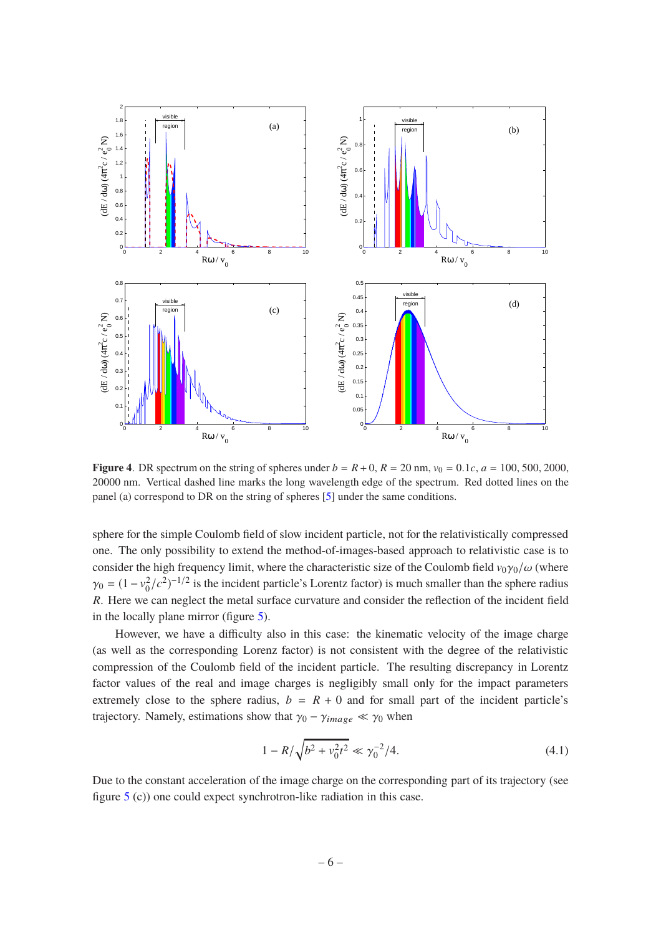

<span id="page-6-0"></span>**Figure 4.** DR spectrum on the string of spheres under  $b = R + 0$ ,  $R = 20$  nm,  $v_0 = 0.1c$ ,  $a = 100$ , 500, 2000, 20000 nm. Vertical dashed line marks the long wavelength edge of the spectrum. Red dotted lines on the panel (a) correspond to DR on the string of spheres [\[5](#page-7-4)] under the same conditions.

sphere for the simple Coulomb field of slow incident particle, not for the relativistically compressed one. The only possibility to extend the method-of-images-based approach to relativistic case is to consider the high frequency limit, where the characteristic size of the Coulomb field  $v_0\gamma_0/\omega$  (where  $\gamma_0 = (1 - v_0^2/c^2)^{-1/2}$  is the incident particle's Lorentz factor) is much smaller than the sphere radius *R*. Here we can neglect the metal surface curvature and consider the reflection of the incident field in the locally plane mirror (figure [5\)](#page-7-9).

However, we have a difficulty also in this case: the kinematic velocity of the image charge (as well as the corresponding Lorenz factor) is not consistent with the degree of the relativistic compression of the Coulomb field of the incident particle. The resulting discrepancy in Lorentz factor values of the real and image charges is negligibly small only for the impact parameters extremely close to the sphere radius,  $b = R + 0$  and for small part of the incident particle's trajectory. Namely, estimations show that  $\gamma_0 - \gamma_{image} \ll \gamma_0$  when

$$
1 - R/\sqrt{b^2 + v_0^2 t^2} \ll \gamma_0^{-2}/4. \tag{4.1}
$$

Due to the constant acceleration of the image charge on the corresponding part of its trajectory (see figure [5](#page-7-9) (c)) one could expect synchrotron-like radiation in this case.